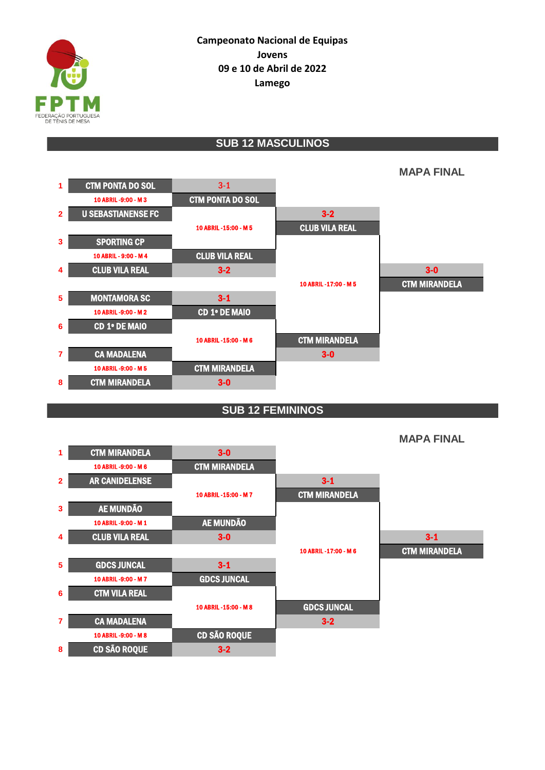

## **SUB 12 MASCULINOS**



## **SUB 12 FEMININOS**



**MAPA FINAL**